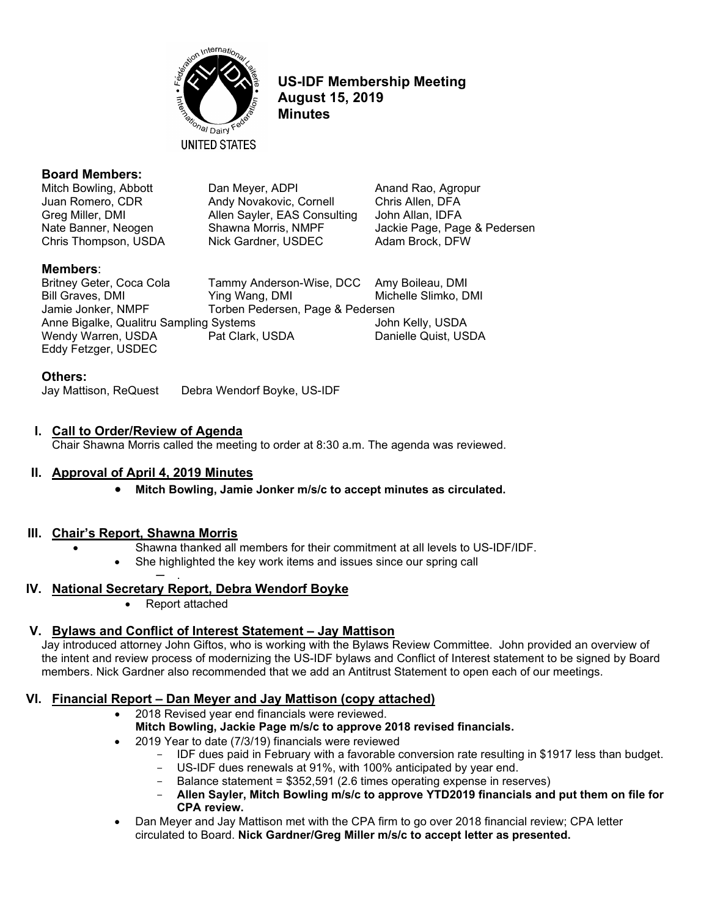

**US-IDF Membership Meeting August 15, 2019 Minutes**

Jackie Page, Page & Pedersen

#### **Board Members:**

Mitch Bowling, Abbott **Dan Meyer, ADPI** Anand Rao, Agropur Juan Romero, CDR Andy Novakovic, Cornell Chris Allen, DFA Greg Miller, DMI Allen Sayler, EAS Consulting John Allan, IDFA<br>Nate Banner, Neogen Shawna Morris, NMPF Jackie Page, Pac Chris Thompson, USDA Nick Gardner, USDEC Adam Brock, DFW

**Members:**<br>Britney Geter, Coca Cola Tammy Anderson-Wise, DCC Amy Boileau, DMI Bill Graves, DMI **The Club Club Ying Wang, DMI** Michelle Slimko, DMI Jamie Jonker, NMPF Torben Pedersen, Page & Pedersen Anne Bigalke, Qualitru Sampling Systems Guaranteed Muslem Community John Kelly, USDA Wendy Warren, USDA Pat Clark, USDA Danielle Quist, USDA Eddy Fetzger, USDEC

#### **Others:**

Jay Mattison, ReQuest Debra Wendorf Boyke, US-IDF

#### **I. Call to Order/Review of Agenda**

Chair Shawna Morris called the meeting to order at 8:30 a.m. The agenda was reviewed.

#### **II. Approval of April 4, 2019 Minutes**

• **Mitch Bowling, Jamie Jonker m/s/c to accept minutes as circulated.**

#### **III. Chair's Report, Shawna Morris**

- Shawna thanked all members for their commitment at all levels to US-IDF/IDF.
	- She highlighted the key work items and issues since our spring call ─ .

#### **IV. National Secretary Report, Debra Wendorf Boyke**

• Report attached

#### **V. Bylaws and Conflict of Interest Statement – Jay Mattison**

Jay introduced attorney John Giftos, who is working with the Bylaws Review Committee. John provided an overview of the intent and review process of modernizing the US-IDF bylaws and Conflict of Interest statement to be signed by Board members. Nick Gardner also recommended that we add an Antitrust Statement to open each of our meetings.

#### **VI. Financial Report – Dan Meyer and Jay Mattison (copy attached)**

- 2018 Revised year end financials were reviewed. **Mitch Bowling, Jackie Page m/s/c to approve 2018 revised financials.**
	- 2019 Year to date (7/3/19) financials were reviewed
		- IDF dues paid in February with a favorable conversion rate resulting in \$1917 less than budget.
		- US-IDF dues renewals at 91%, with 100% anticipated by year end.
		- Balance statement = \$352,591 (2.6 times operating expense in reserves)
		- **Allen Sayler, Mitch Bowling m/s/c to approve YTD2019 financials and put them on file for CPA review.**
- Dan Meyer and Jay Mattison met with the CPA firm to go over 2018 financial review; CPA letter circulated to Board. **Nick Gardner/Greg Miller m/s/c to accept letter as presented.**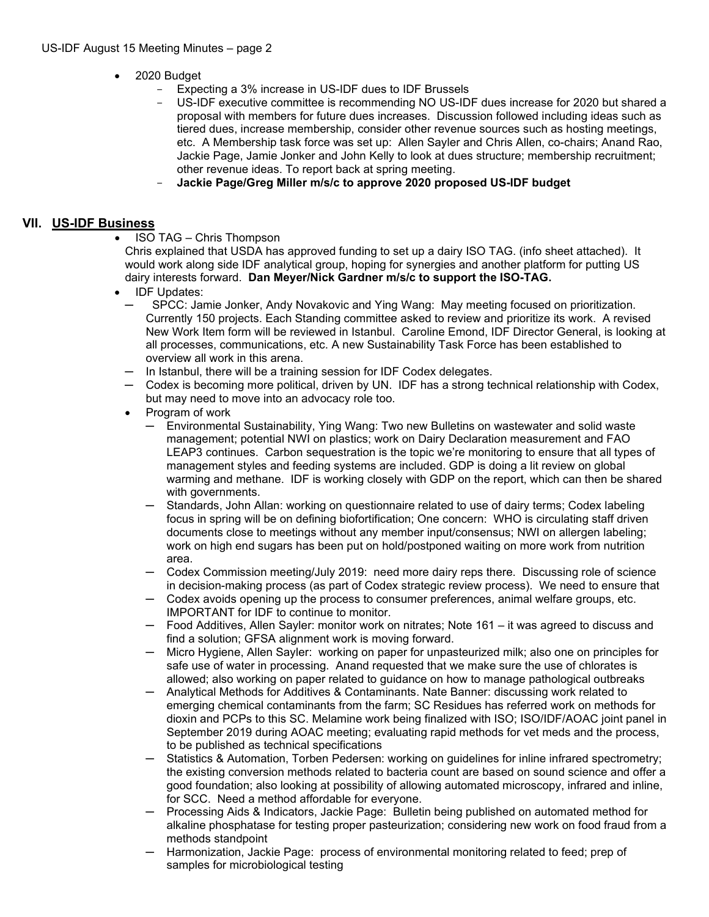- 2020 Budget
	- Expecting a 3% increase in US-IDF dues to IDF Brussels
	- US-IDF executive committee is recommending NO US-IDF dues increase for 2020 but shared a proposal with members for future dues increases. Discussion followed including ideas such as tiered dues, increase membership, consider other revenue sources such as hosting meetings, etc. A Membership task force was set up: Allen Sayler and Chris Allen, co-chairs; Anand Rao, Jackie Page, Jamie Jonker and John Kelly to look at dues structure; membership recruitment; other revenue ideas. To report back at spring meeting.
	- **Jackie Page/Greg Miller m/s/c to approve 2020 proposed US-IDF budget**

#### **VII. US-IDF Business**

• ISO TAG – Chris Thompson

Chris explained that USDA has approved funding to set up a dairy ISO TAG. (info sheet attached). It would work along side IDF analytical group, hoping for synergies and another platform for putting US dairy interests forward. **Dan Meyer/Nick Gardner m/s/c to support the ISO-TAG.**

- IDF Updates:
	- ─ SPCC: Jamie Jonker, Andy Novakovic and Ying Wang: May meeting focused on prioritization. Currently 150 projects. Each Standing committee asked to review and prioritize its work. A revised New Work Item form will be reviewed in Istanbul. Caroline Emond, IDF Director General, is looking at all processes, communications, etc. A new Sustainability Task Force has been established to overview all work in this arena.
	- $-$  In Istanbul, there will be a training session for IDF Codex delegates.
	- ─ Codex is becoming more political, driven by UN. IDF has a strong technical relationship with Codex, but may need to move into an advocacy role too.
	- Program of work
		- ─ Environmental Sustainability, Ying Wang: Two new Bulletins on wastewater and solid waste management; potential NWI on plastics; work on Dairy Declaration measurement and FAO LEAP3 continues. Carbon sequestration is the topic we're monitoring to ensure that all types of management styles and feeding systems are included. GDP is doing a lit review on global warming and methane. IDF is working closely with GDP on the report, which can then be shared with governments.
		- Standards, John Allan: working on questionnaire related to use of dairy terms; Codex labeling focus in spring will be on defining biofortification; One concern: WHO is circulating staff driven documents close to meetings without any member input/consensus; NWI on allergen labeling; work on high end sugars has been put on hold/postponed waiting on more work from nutrition area.
		- Codex Commission meeting/July 2019: need more dairy reps there. Discussing role of science in decision-making process (as part of Codex strategic review process). We need to ensure that
		- Codex avoids opening up the process to consumer preferences, animal welfare groups, etc. IMPORTANT for IDF to continue to monitor.
		- ─ Food Additives, Allen Sayler: monitor work on nitrates; Note 161 it was agreed to discuss and find a solution; GFSA alignment work is moving forward.
		- ─ Micro Hygiene, Allen Sayler: working on paper for unpasteurized milk; also one on principles for safe use of water in processing. Anand requested that we make sure the use of chlorates is allowed; also working on paper related to guidance on how to manage pathological outbreaks
		- ─ Analytical Methods for Additives & Contaminants. Nate Banner: discussing work related to emerging chemical contaminants from the farm; SC Residues has referred work on methods for dioxin and PCPs to this SC. Melamine work being finalized with ISO; ISO/IDF/AOAC joint panel in September 2019 during AOAC meeting; evaluating rapid methods for vet meds and the process, to be published as technical specifications
		- Statistics & Automation, Torben Pedersen: working on guidelines for inline infrared spectrometry; the existing conversion methods related to bacteria count are based on sound science and offer a good foundation; also looking at possibility of allowing automated microscopy, infrared and inline, for SCC. Need a method affordable for everyone.
		- ─ Processing Aids & Indicators, Jackie Page: Bulletin being published on automated method for alkaline phosphatase for testing proper pasteurization; considering new work on food fraud from a methods standpoint
		- Harmonization, Jackie Page: process of environmental monitoring related to feed; prep of samples for microbiological testing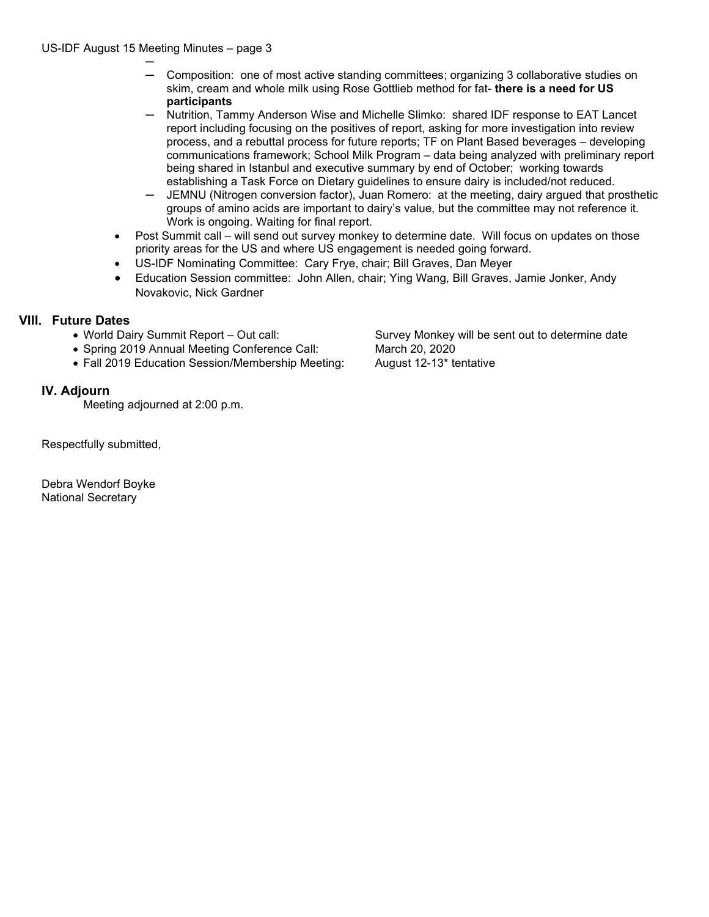- ─ ─ Composition: one of most active standing committees; organizing 3 collaborative studies on skim, cream and whole milk using Rose Gottlieb method for fat- **there is a need for US participants**
- ─ Nutrition, Tammy Anderson Wise and Michelle Slimko: shared IDF response to EAT Lancet report including focusing on the positives of report, asking for more investigation into review process, and a rebuttal process for future reports; TF on Plant Based beverages – developing communications framework; School Milk Program – data being analyzed with preliminary report being shared in Istanbul and executive summary by end of October; working towards establishing a Task Force on Dietary guidelines to ensure dairy is included/not reduced.
- ─ JEMNU (Nitrogen conversion factor), Juan Romero: at the meeting, dairy argued that prosthetic groups of amino acids are important to dairy's value, but the committee may not reference it. Work is ongoing. Waiting for final report.
- Post Summit call will send out survey monkey to determine date. Will focus on updates on those priority areas for the US and where US engagement is needed going forward.
- US-IDF Nominating Committee: Cary Frye, chair; Bill Graves, Dan Meyer
- Education Session committee: John Allen, chair; Ying Wang, Bill Graves, Jamie Jonker, Andy Novakovic, Nick Gardner

### **VIII. Future Dates**

- 
- Spring 2019 Annual Meeting Conference Call: March 20, 2020
- Fall 2019 Education Session/Membership Meeting: August 12-13\* tentative

### **IV. Adjourn**

Meeting adjourned at 2:00 p.m.

Respectfully submitted,

Debra Wendorf Boyke National Secretary

• World Dairy Summit Report – Out call: Survey Monkey will be sent out to determine date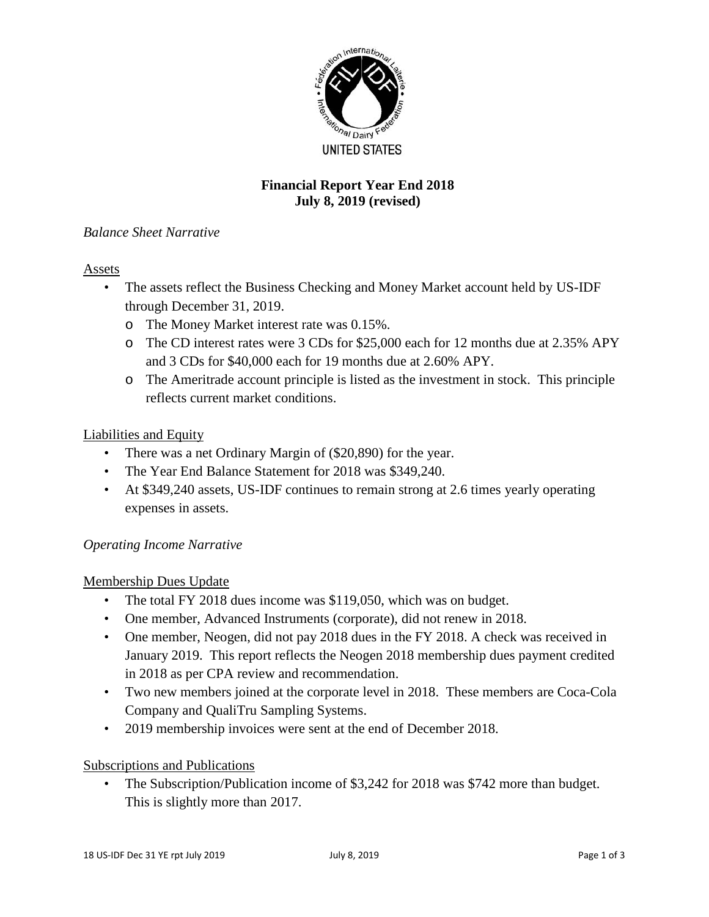

# **Financial Report Year End 2018 July 8, 2019 (revised)**

# *Balance Sheet Narrative*

#### Assets

- The assets reflect the Business Checking and Money Market account held by US-IDF through December 31, 2019.
	- o The Money Market interest rate was 0.15%.
	- o The CD interest rates were 3 CDs for \$25,000 each for 12 months due at 2.35% APY and 3 CDs for \$40,000 each for 19 months due at 2.60% APY.
	- o The Ameritrade account principle is listed as the investment in stock. This principle reflects current market conditions.

### Liabilities and Equity

- There was a net Ordinary Margin of (\$20,890) for the year.
- The Year End Balance Statement for 2018 was \$349,240.
- At \$349,240 assets, US-IDF continues to remain strong at 2.6 times yearly operating expenses in assets.

#### *Operating Income Narrative*

# Membership Dues Update

- The total FY 2018 dues income was \$119,050, which was on budget.
- One member, Advanced Instruments (corporate), did not renew in 2018.
- One member, Neogen, did not pay 2018 dues in the FY 2018. A check was received in January 2019. This report reflects the Neogen 2018 membership dues payment credited in 2018 as per CPA review and recommendation.
- Two new members joined at the corporate level in 2018. These members are Coca-Cola Company and QualiTru Sampling Systems.
- 2019 membership invoices were sent at the end of December 2018.

#### Subscriptions and Publications

• The Subscription/Publication income of \$3,242 for 2018 was \$742 more than budget. This is slightly more than 2017.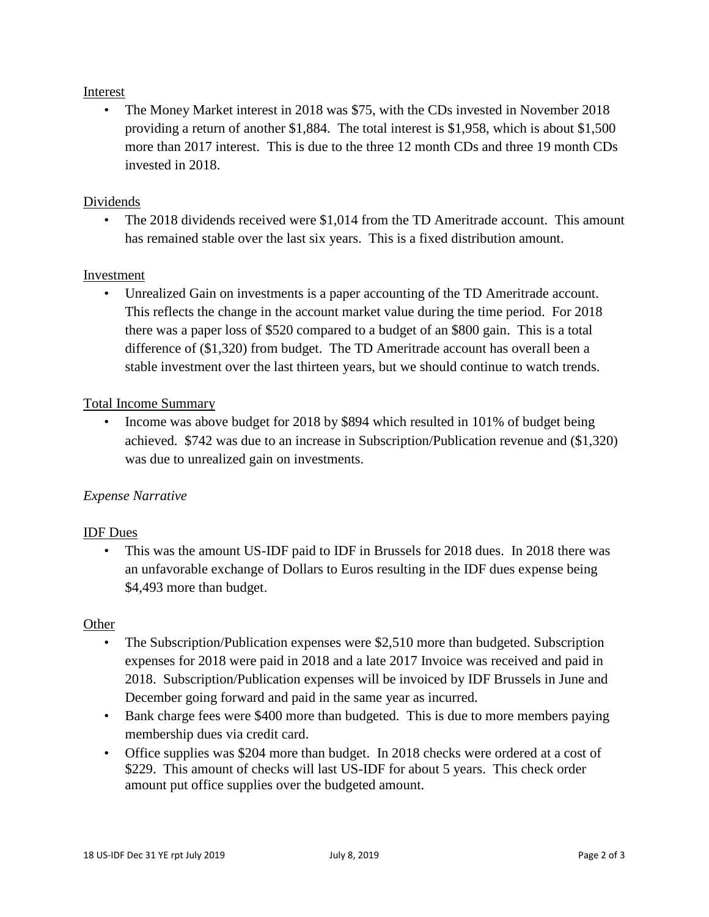#### Interest

• The Money Market interest in 2018 was \$75, with the CDs invested in November 2018 providing a return of another \$1,884. The total interest is \$1,958, which is about \$1,500 more than 2017 interest. This is due to the three 12 month CDs and three 19 month CDs invested in 2018.

## Dividends

• The 2018 dividends received were \$1,014 from the TD Ameritrade account. This amount has remained stable over the last six years. This is a fixed distribution amount.

#### Investment

• Unrealized Gain on investments is a paper accounting of the TD Ameritrade account. This reflects the change in the account market value during the time period. For 2018 there was a paper loss of \$520 compared to a budget of an \$800 gain. This is a total difference of (\$1,320) from budget. The TD Ameritrade account has overall been a stable investment over the last thirteen years, but we should continue to watch trends.

### Total Income Summary

• Income was above budget for 2018 by \$894 which resulted in 101% of budget being achieved. \$742 was due to an increase in Subscription/Publication revenue and (\$1,320) was due to unrealized gain on investments.

# *Expense Narrative*

#### IDF Dues

• This was the amount US-IDF paid to IDF in Brussels for 2018 dues. In 2018 there was an unfavorable exchange of Dollars to Euros resulting in the IDF dues expense being \$4,493 more than budget.

#### **Other**

- The Subscription/Publication expenses were \$2,510 more than budgeted. Subscription expenses for 2018 were paid in 2018 and a late 2017 Invoice was received and paid in 2018. Subscription/Publication expenses will be invoiced by IDF Brussels in June and December going forward and paid in the same year as incurred.
- Bank charge fees were \$400 more than budgeted. This is due to more members paying membership dues via credit card.
- Office supplies was \$204 more than budget. In 2018 checks were ordered at a cost of \$229. This amount of checks will last US-IDF for about 5 years. This check order amount put office supplies over the budgeted amount.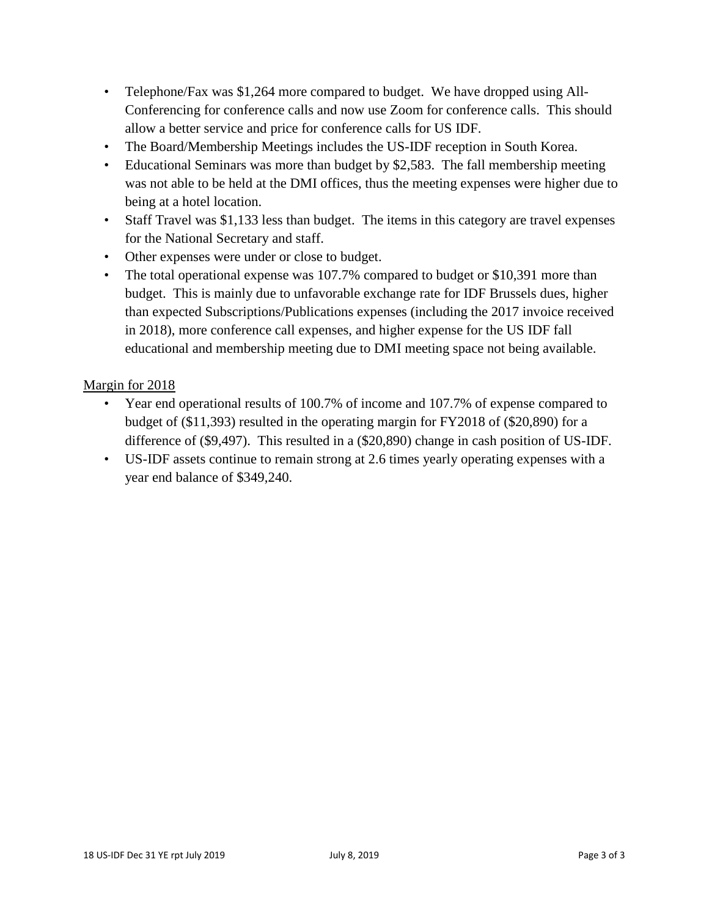- Telephone/Fax was \$1,264 more compared to budget. We have dropped using All-Conferencing for conference calls and now use Zoom for conference calls. This should allow a better service and price for conference calls for US IDF.
- The Board/Membership Meetings includes the US-IDF reception in South Korea.
- Educational Seminars was more than budget by \$2,583. The fall membership meeting was not able to be held at the DMI offices, thus the meeting expenses were higher due to being at a hotel location.
- Staff Travel was \$1,133 less than budget. The items in this category are travel expenses for the National Secretary and staff.
- Other expenses were under or close to budget.
- The total operational expense was 107.7% compared to budget or \$10,391 more than budget. This is mainly due to unfavorable exchange rate for IDF Brussels dues, higher than expected Subscriptions/Publications expenses (including the 2017 invoice received in 2018), more conference call expenses, and higher expense for the US IDF fall educational and membership meeting due to DMI meeting space not being available.

### Margin for 2018

- Year end operational results of 100.7% of income and 107.7% of expense compared to budget of (\$11,393) resulted in the operating margin for FY2018 of (\$20,890) for a difference of (\$9,497). This resulted in a (\$20,890) change in cash position of US-IDF.
- US-IDF assets continue to remain strong at 2.6 times yearly operating expenses with a year end balance of \$349,240.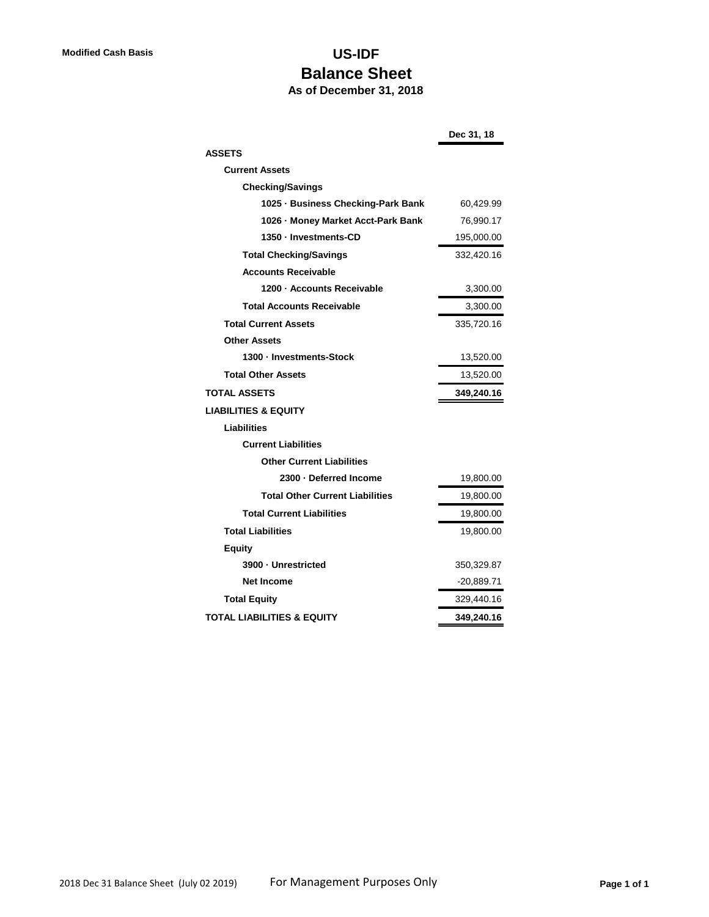# **Modified Cash Basis US-IDF Balance Sheet**

# **As of December 31, 2018**

|                                        | Dec 31, 18   |
|----------------------------------------|--------------|
| <b>ASSETS</b>                          |              |
| <b>Current Assets</b>                  |              |
| <b>Checking/Savings</b>                |              |
| 1025 · Business Checking-Park Bank     | 60,429.99    |
| 1026 - Money Market Acct-Park Bank     | 76,990.17    |
| 1350 - Investments-CD                  | 195,000.00   |
| <b>Total Checking/Savings</b>          | 332,420.16   |
| <b>Accounts Receivable</b>             |              |
| 1200 - Accounts Receivable             | 3,300.00     |
| <b>Total Accounts Receivable</b>       | 3,300.00     |
| <b>Total Current Assets</b>            | 335,720.16   |
| <b>Other Assets</b>                    |              |
| 1300 - Investments-Stock               | 13,520.00    |
| <b>Total Other Assets</b>              | 13,520.00    |
| <b>TOTAL ASSETS</b>                    | 349,240.16   |
| <b>LIABILITIES &amp; EQUITY</b>        |              |
| Liabilities                            |              |
| <b>Current Liabilities</b>             |              |
| <b>Other Current Liabilities</b>       |              |
| 2300 · Deferred Income                 | 19,800.00    |
| <b>Total Other Current Liabilities</b> | 19,800.00    |
| <b>Total Current Liabilities</b>       | 19,800.00    |
| <b>Total Liabilities</b>               | 19,800.00    |
| <b>Equity</b>                          |              |
| 3900 - Unrestricted                    | 350,329.87   |
| <b>Net Income</b>                      | $-20,889.71$ |
| <b>Total Equity</b>                    | 329,440.16   |
| <b>TOTAL LIABILITIES &amp; EQUITY</b>  | 349,240.16   |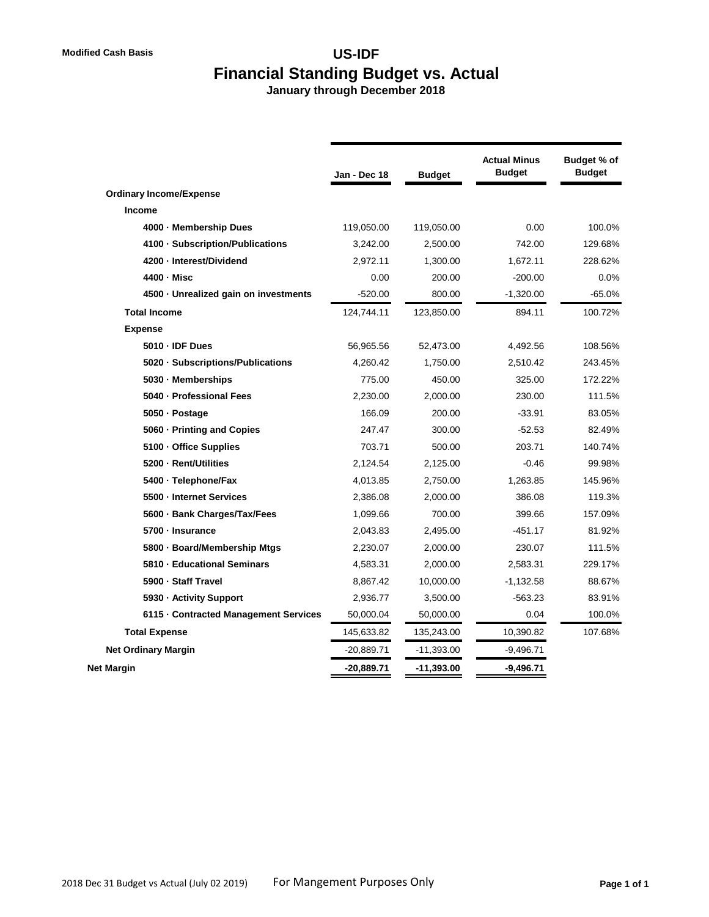# **Modified Cash Basis US-IDF Financial Standing Budget vs. Actual**

 **January through December 2018**

|                                       | Jan - Dec 18 | <b>Budget</b> | <b>Actual Minus</b><br><b>Budget</b> | Budget % of<br><b>Budget</b> |
|---------------------------------------|--------------|---------------|--------------------------------------|------------------------------|
| <b>Ordinary Income/Expense</b>        |              |               |                                      |                              |
| Income                                |              |               |                                      |                              |
| 4000 - Membership Dues                | 119,050.00   | 119,050.00    | 0.00                                 | 100.0%                       |
| 4100 · Subscription/Publications      | 3,242.00     | 2,500.00      | 742.00                               | 129.68%                      |
| 4200 - Interest/Dividend              | 2,972.11     | 1,300.00      | 1,672.11                             | 228.62%                      |
| 4400 - Misc                           | 0.00         | 200.00        | $-200.00$                            | 0.0%                         |
| 4500 · Unrealized gain on investments | $-520.00$    | 800.00        | $-1,320.00$                          | $-65.0%$                     |
| <b>Total Income</b>                   | 124.744.11   | 123,850.00    | 894.11                               | 100.72%                      |
| <b>Expense</b>                        |              |               |                                      |                              |
| 5010 - IDF Dues                       | 56,965.56    | 52,473.00     | 4,492.56                             | 108.56%                      |
| 5020 · Subscriptions/Publications     | 4,260.42     | 1,750.00      | 2,510.42                             | 243.45%                      |
| 5030 - Memberships                    | 775.00       | 450.00        | 325.00                               | 172.22%                      |
| 5040 - Professional Fees              | 2.230.00     | 2,000.00      | 230.00                               | 111.5%                       |
| 5050 - Postage                        | 166.09       | 200.00        | $-33.91$                             | 83.05%                       |
| 5060 - Printing and Copies            | 247.47       | 300.00        | $-52.53$                             | 82.49%                       |
| 5100 · Office Supplies                | 703.71       | 500.00        | 203.71                               | 140.74%                      |
| 5200 - Rent/Utilities                 | 2,124.54     | 2,125.00      | $-0.46$                              | 99.98%                       |
| 5400 · Telephone/Fax                  | 4,013.85     | 2,750.00      | 1,263.85                             | 145.96%                      |
| 5500 - Internet Services              | 2,386.08     | 2,000.00      | 386.08                               | 119.3%                       |
| 5600 · Bank Charges/Tax/Fees          | 1.099.66     | 700.00        | 399.66                               | 157.09%                      |
| 5700 - Insurance                      | 2,043.83     | 2,495.00      | $-451.17$                            | 81.92%                       |
| 5800 · Board/Membership Mtgs          | 2,230.07     | 2,000.00      | 230.07                               | 111.5%                       |
| 5810 - Educational Seminars           | 4,583.31     | 2,000.00      | 2,583.31                             | 229.17%                      |
| 5900 - Staff Travel                   | 8,867.42     | 10,000.00     | $-1,132.58$                          | 88.67%                       |
| 5930 - Activity Support               | 2,936.77     | 3,500.00      | $-563.23$                            | 83.91%                       |
| 6115 - Contracted Management Services | 50,000.04    | 50,000.00     | 0.04                                 | 100.0%                       |
| <b>Total Expense</b>                  | 145,633.82   | 135,243.00    | 10,390.82                            | 107.68%                      |
| <b>Net Ordinary Margin</b>            | $-20,889.71$ | $-11,393.00$  | $-9,496.71$                          |                              |
| <b>Net Margin</b>                     | -20,889.71   | $-11,393.00$  | $-9,496.71$                          |                              |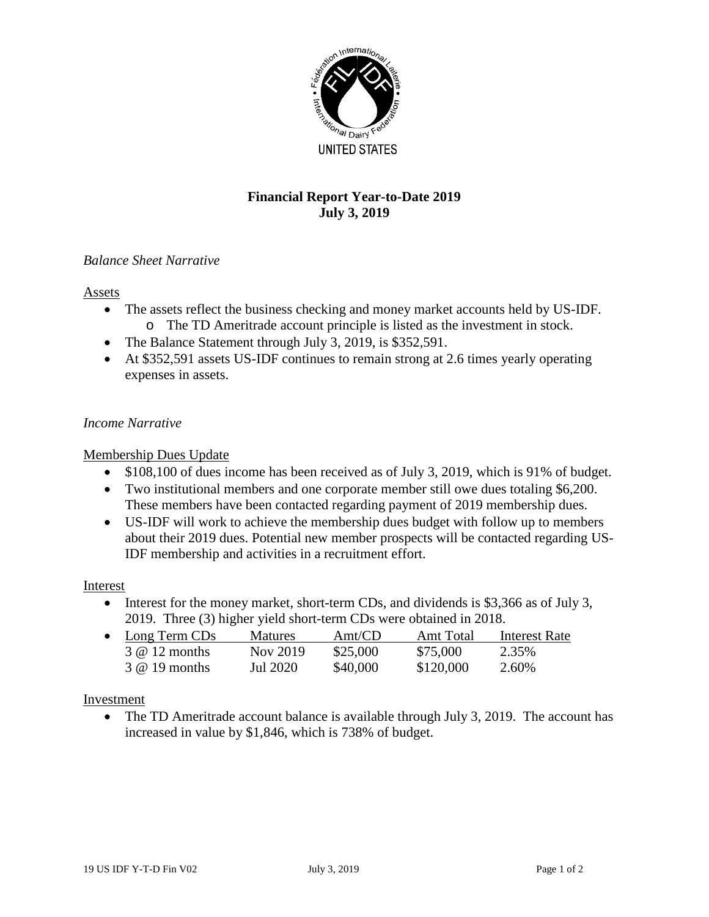

# **Financial Report Year-to-Date 2019 July 3, 2019**

### *Balance Sheet Narrative*

#### Assets

- The assets reflect the business checking and money market accounts held by US-IDF. o The TD Ameritrade account principle is listed as the investment in stock.
- The Balance Statement through July 3, 2019, is \$352,591.
- At \$352,591 assets US-IDF continues to remain strong at 2.6 times yearly operating expenses in assets.

#### *Income Narrative*

#### Membership Dues Update

- \$108,100 of dues income has been received as of July 3, 2019, which is 91% of budget.
- Two institutional members and one corporate member still owe dues totaling \$6,200. These members have been contacted regarding payment of 2019 membership dues.
- US-IDF will work to achieve the membership dues budget with follow up to members about their 2019 dues. Potential new member prospects will be contacted regarding US-IDF membership and activities in a recruitment effort.

#### Interest

• Interest for the money market, short-term CDs, and dividends is \$3,366 as of July 3, 2019. Three (3) higher yield short-term CDs were obtained in 2018.

| $\bullet$ Long Term CDs | <b>Matures</b> | Amt/CD   | Amt Total | Interest Rate |
|-------------------------|----------------|----------|-----------|---------------|
| $3 \& 12$ months        | Nov 2019       | \$25,000 | \$75,000  | 2.35%         |
| $3 \& 19$ months        | Jul 2020       | \$40,000 | \$120,000 | 2.60%         |

#### Investment

The TD Ameritrade account balance is available through July 3, 2019. The account has increased in value by \$1,846, which is 738% of budget.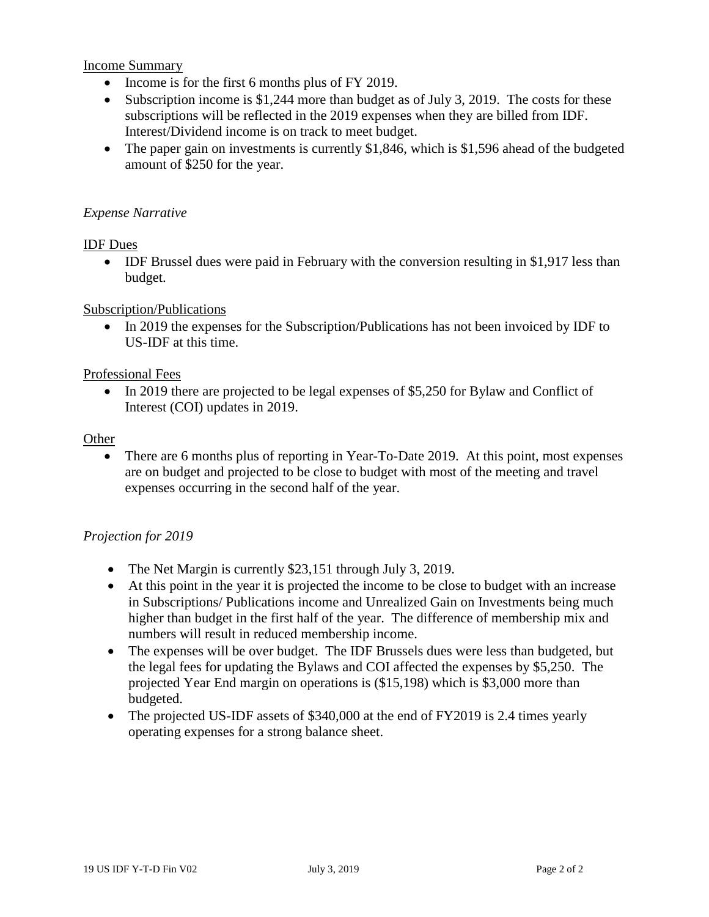Income Summary

- Income is for the first 6 months plus of FY 2019.
- Subscription income is \$1,244 more than budget as of July 3, 2019. The costs for these subscriptions will be reflected in the 2019 expenses when they are billed from IDF. Interest/Dividend income is on track to meet budget.
- The paper gain on investments is currently \$1,846, which is \$1,596 ahead of the budgeted amount of \$250 for the year.

#### *Expense Narrative*

#### IDF Dues

• IDF Brussel dues were paid in February with the conversion resulting in \$1,917 less than budget.

#### Subscription/Publications

• In 2019 the expenses for the Subscription/Publications has not been invoiced by IDF to US-IDF at this time.

#### Professional Fees

• In 2019 there are projected to be legal expenses of \$5,250 for Bylaw and Conflict of Interest (COI) updates in 2019.

#### **Other**

• There are 6 months plus of reporting in Year-To-Date 2019. At this point, most expenses are on budget and projected to be close to budget with most of the meeting and travel expenses occurring in the second half of the year.

#### *Projection for 2019*

- The Net Margin is currently \$23,151 through July 3, 2019.
- At this point in the year it is projected the income to be close to budget with an increase in Subscriptions/ Publications income and Unrealized Gain on Investments being much higher than budget in the first half of the year. The difference of membership mix and numbers will result in reduced membership income.
- The expenses will be over budget. The IDF Brussels dues were less than budgeted, but the legal fees for updating the Bylaws and COI affected the expenses by \$5,250. The projected Year End margin on operations is (\$15,198) which is \$3,000 more than budgeted.
- The projected US-IDF assets of \$340,000 at the end of FY2019 is 2.4 times yearly operating expenses for a strong balance sheet.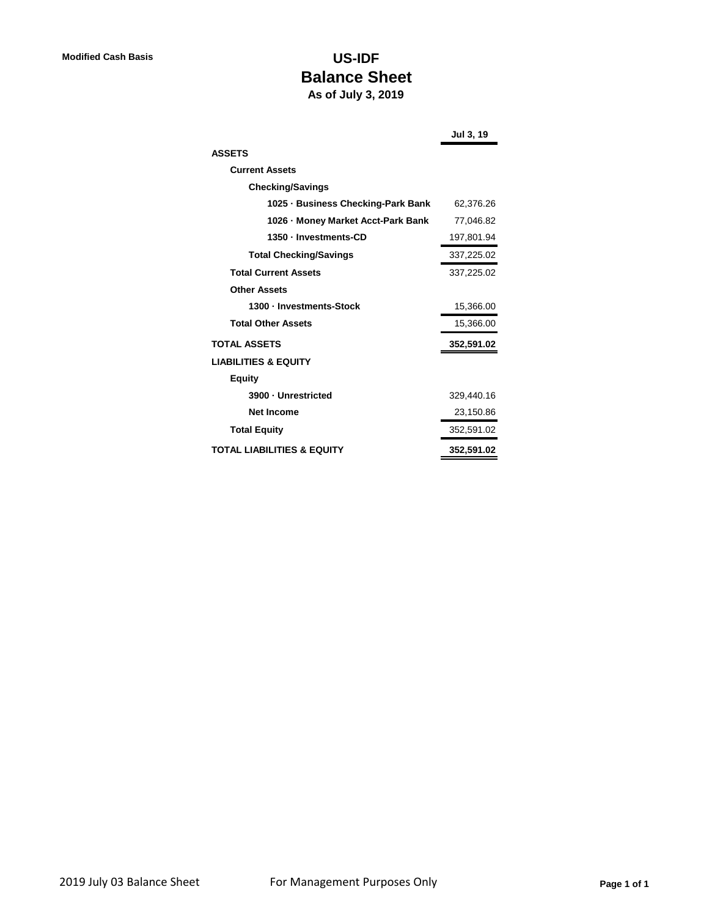# **Modified Cash Basis US-IDF Balance Sheet As of July 3, 2019**

|                                       | <b>Jul 3, 19</b> |
|---------------------------------------|------------------|
| <b>ASSETS</b>                         |                  |
| <b>Current Assets</b>                 |                  |
| <b>Checking/Savings</b>               |                  |
| 1025 - Business Checking-Park Bank    | 62,376.26        |
| 1026 - Money Market Acct-Park Bank    | 77,046.82        |
| 1350 · Investments-CD                 | 197,801.94       |
| <b>Total Checking/Savings</b>         | 337,225.02       |
| <b>Total Current Assets</b>           | 337,225.02       |
| <b>Other Assets</b>                   |                  |
| 1300 - Investments-Stock              | 15,366.00        |
| <b>Total Other Assets</b>             | 15,366.00        |
| <b>TOTAL ASSETS</b>                   | 352,591.02       |
| <b>LIABILITIES &amp; EQUITY</b>       |                  |
| <b>Equity</b>                         |                  |
| 3900 - Unrestricted                   | 329,440.16       |
| <b>Net Income</b>                     | 23,150.86        |
| <b>Total Equity</b>                   | 352,591.02       |
| <b>TOTAL LIABILITIES &amp; EQUITY</b> | 352,591.02       |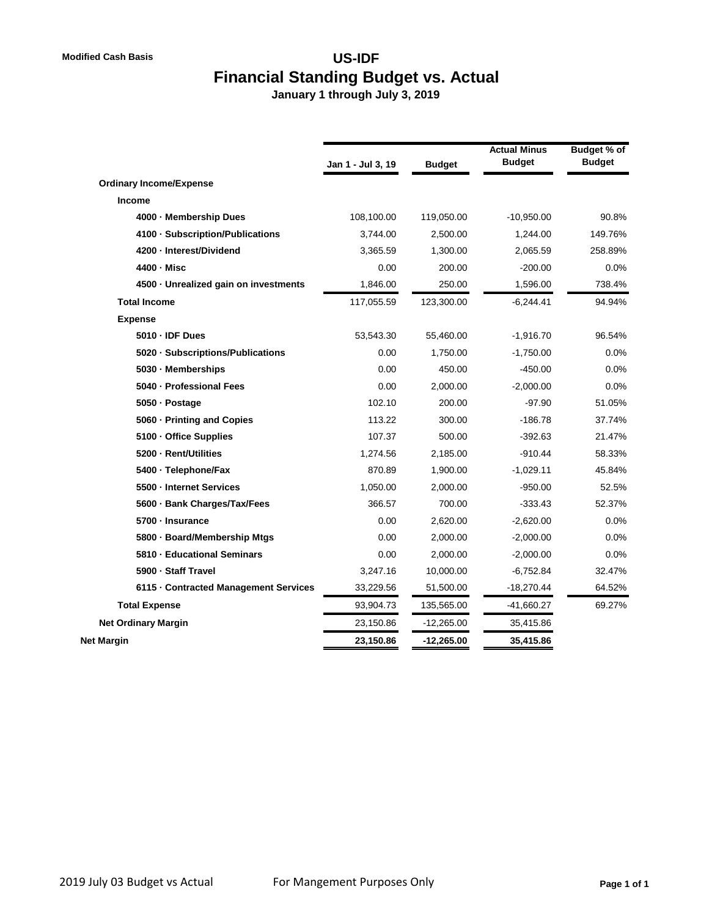# **Modified Cash Basis US-IDF Financial Standing Budget vs. Actual**

 **January 1 through July 3, 2019**

|                                       | Jan 1 - Jul 3, 19 | <b>Budget</b> | <b>Actual Minus</b><br><b>Budget</b> | Budget % of<br><b>Budget</b> |
|---------------------------------------|-------------------|---------------|--------------------------------------|------------------------------|
| <b>Ordinary Income/Expense</b>        |                   |               |                                      |                              |
| Income                                |                   |               |                                      |                              |
| 4000 - Membership Dues                | 108,100.00        | 119,050.00    | $-10,950.00$                         | 90.8%                        |
| 4100 · Subscription/Publications      | 3,744.00          | 2,500.00      | 1,244.00                             | 149.76%                      |
| 4200 - Interest/Dividend              | 3,365.59          | 1,300.00      | 2,065.59                             | 258.89%                      |
| 4400 - Misc                           | 0.00              | 200.00        | $-200.00$                            | 0.0%                         |
| 4500 · Unrealized gain on investments | 1,846.00          | 250.00        | 1,596.00                             | 738.4%                       |
| <b>Total Income</b>                   | 117,055.59        | 123,300.00    | $-6,244.41$                          | 94.94%                       |
| <b>Expense</b>                        |                   |               |                                      |                              |
| 5010 - IDF Dues                       | 53,543.30         | 55,460.00     | $-1,916.70$                          | 96.54%                       |
| 5020 · Subscriptions/Publications     | 0.00              | 1,750.00      | $-1,750.00$                          | 0.0%                         |
| 5030 - Memberships                    | 0.00              | 450.00        | $-450.00$                            | 0.0%                         |
| 5040 - Professional Fees              | 0.00              | 2,000.00      | $-2,000.00$                          | 0.0%                         |
| 5050 - Postage                        | 102.10            | 200.00        | $-97.90$                             | 51.05%                       |
| 5060 - Printing and Copies            | 113.22            | 300.00        | $-186.78$                            | 37.74%                       |
| 5100 - Office Supplies                | 107.37            | 500.00        | $-392.63$                            | 21.47%                       |
| 5200 - Rent/Utilities                 | 1,274.56          | 2,185.00      | $-910.44$                            | 58.33%                       |
| 5400 - Telephone/Fax                  | 870.89            | 1,900.00      | $-1,029.11$                          | 45.84%                       |
| 5500 - Internet Services              | 1,050.00          | 2,000.00      | $-950.00$                            | 52.5%                        |
| 5600 · Bank Charges/Tax/Fees          | 366.57            | 700.00        | $-333.43$                            | 52.37%                       |
| 5700 - Insurance                      | 0.00              | 2,620.00      | $-2,620.00$                          | 0.0%                         |
| 5800 - Board/Membership Mtgs          | 0.00              | 2,000.00      | $-2,000.00$                          | 0.0%                         |
| 5810 - Educational Seminars           | 0.00              | 2,000.00      | $-2,000.00$                          | 0.0%                         |
| 5900 · Staff Travel                   | 3,247.16          | 10,000.00     | $-6,752.84$                          | 32.47%                       |
| 6115 - Contracted Management Services | 33,229.56         | 51,500.00     | $-18,270.44$                         | 64.52%                       |
| <b>Total Expense</b>                  | 93,904.73         | 135,565.00    | $-41,660.27$                         | 69.27%                       |
| <b>Net Ordinary Margin</b>            | 23,150.86         | $-12,265.00$  | 35,415.86                            |                              |
| Net Margin                            | 23,150.86         | $-12,265.00$  | 35,415.86                            |                              |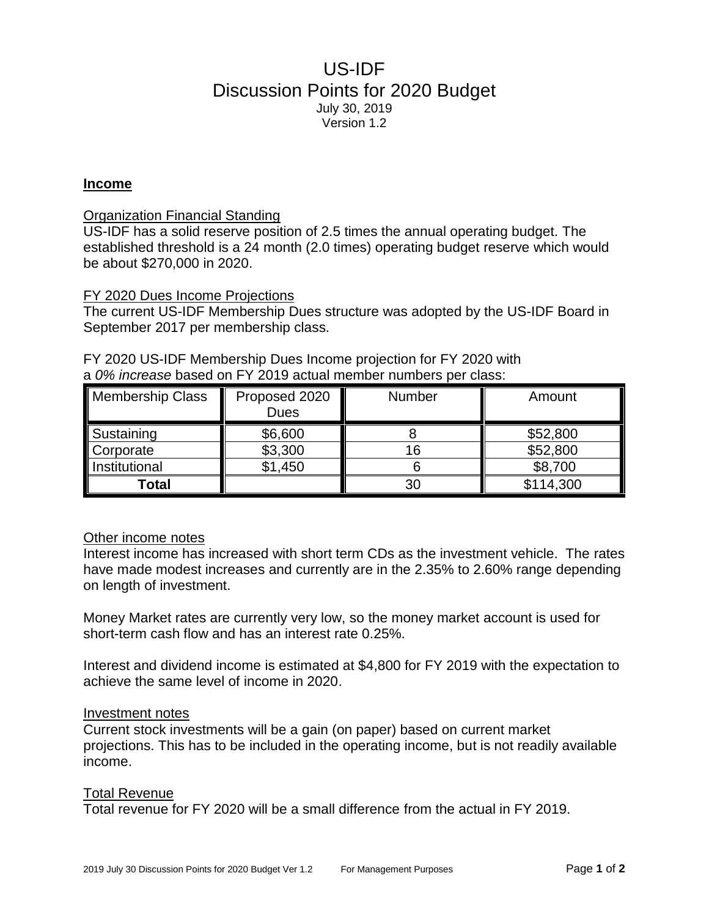# US-IDF Discussion Points for 2020 Budget July 30, 2019 Version 1.2

#### **Income**

#### Organization Financial Standing

US-IDF has a solid reserve position of 2.5 times the annual operating budget. The established threshold is a 24 month (2.0 times) operating budget reserve which would be about \$270,000 in 2020.

#### FY 2020 Dues Income Projections

The current US-IDF Membership Dues structure was adopted by the US-IDF Board in September 2017 per membership class.

| Membership Class | Proposed 2020<br><b>Dues</b> | <b>Number</b> | Amount    |
|------------------|------------------------------|---------------|-----------|
| Sustaining       | \$6,600                      |               | \$52,800  |
| <b>Corporate</b> | \$3,300                      | 16            | \$52,800  |
| Institutional    | \$1,450                      |               | \$8,700   |
| Total            |                              | 30            | \$114,300 |

FY 2020 US-IDF Membership Dues Income projection for FY 2020 with a *0% increase* based on FY 2019 actual member numbers per class:

# Other income notes

Interest income has increased with short term CDs as the investment vehicle. The rates have made modest increases and currently are in the 2.35% to 2.60% range depending on length of investment.

Money Market rates are currently very low, so the money market account is used for short-term cash flow and has an interest rate 0.25%.

Interest and dividend income is estimated at \$4,800 for FY 2019 with the expectation to achieve the same level of income in 2020.

#### Investment notes

Current stock investments will be a gain (on paper) based on current market projections. This has to be included in the operating income, but is not readily available income.

#### Total Revenue

Total revenue for FY 2020 will be a small difference from the actual in FY 2019.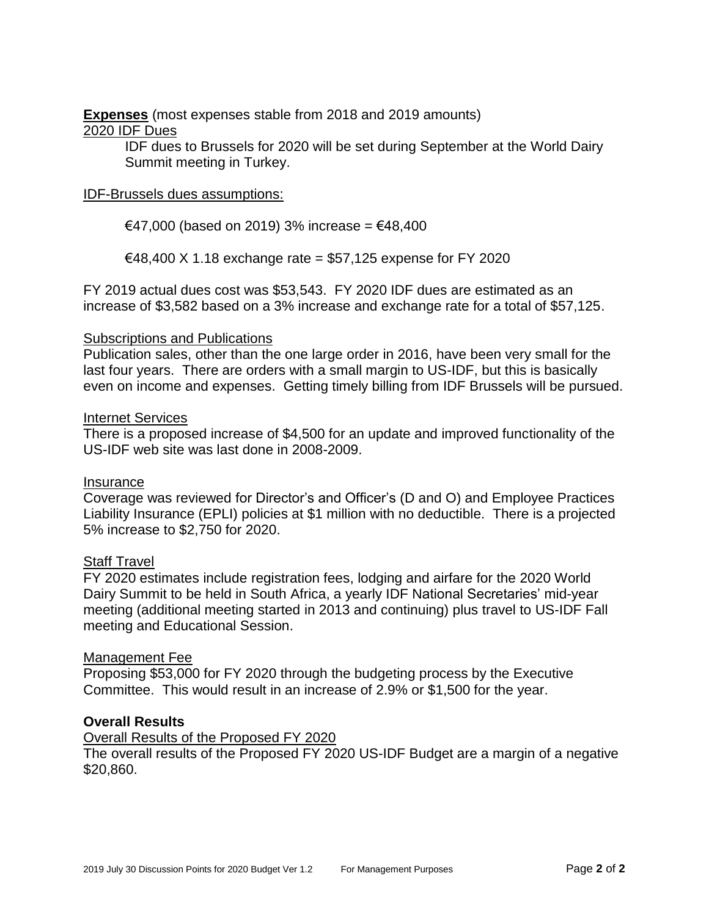**Expenses** (most expenses stable from 2018 and 2019 amounts) 2020 IDF Dues

> IDF dues to Brussels for 2020 will be set during September at the World Dairy Summit meeting in Turkey.

## IDF-Brussels dues assumptions:

€47,000 (based on 2019) 3% increase = €48,400

€48,400 X 1.18 exchange rate = \$57,125 expense for FY 2020

FY 2019 actual dues cost was \$53,543. FY 2020 IDF dues are estimated as an increase of \$3,582 based on a 3% increase and exchange rate for a total of \$57,125.

#### Subscriptions and Publications

Publication sales, other than the one large order in 2016, have been very small for the last four years. There are orders with a small margin to US-IDF, but this is basically even on income and expenses. Getting timely billing from IDF Brussels will be pursued.

#### Internet Services

There is a proposed increase of \$4,500 for an update and improved functionality of the US-IDF web site was last done in 2008-2009.

#### Insurance

Coverage was reviewed for Director's and Officer's (D and O) and Employee Practices Liability Insurance (EPLI) policies at \$1 million with no deductible. There is a projected 5% increase to \$2,750 for 2020.

### **Staff Travel**

FY 2020 estimates include registration fees, lodging and airfare for the 2020 World Dairy Summit to be held in South Africa, a yearly IDF National Secretaries' mid-year meeting (additional meeting started in 2013 and continuing) plus travel to US-IDF Fall meeting and Educational Session.

#### Management Fee

Proposing \$53,000 for FY 2020 through the budgeting process by the Executive Committee. This would result in an increase of 2.9% or \$1,500 for the year.

#### **Overall Results**

#### Overall Results of the Proposed FY 2020

The overall results of the Proposed FY 2020 US-IDF Budget are a margin of a negative \$20,860.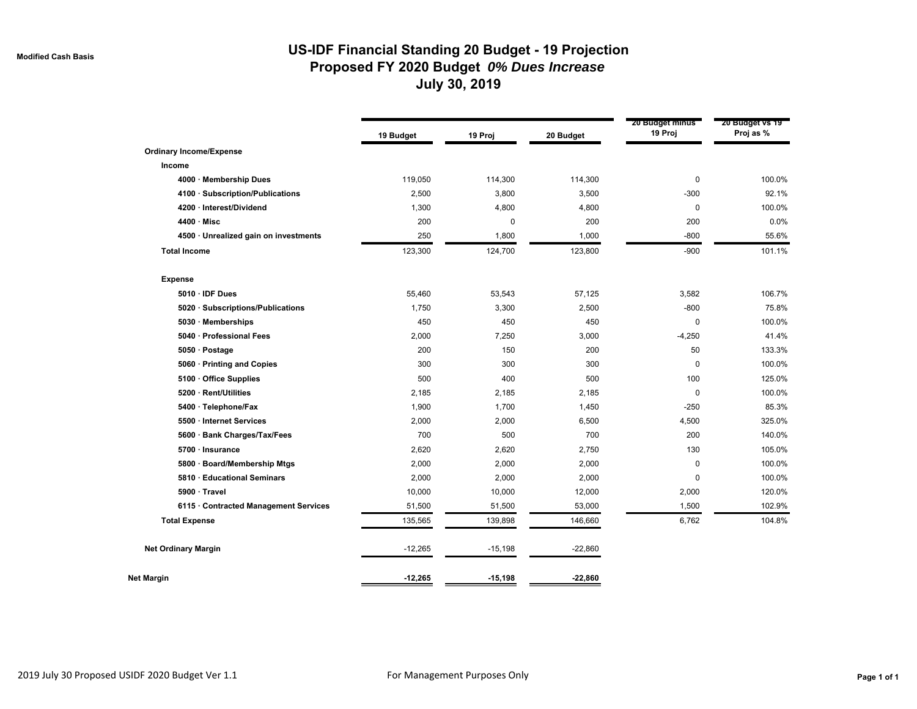# **US-IDF Financial Standing 20 Budget - 19 Projection Proposed FY 2020 Budget** *0% Dues Increase* **July 30, 2019**

|                                       | 19 Budget | 19 Proj   | 20 Budget | 20 Budget minus<br>19 Proj | 20 Budget vs 19<br>Proj as % |
|---------------------------------------|-----------|-----------|-----------|----------------------------|------------------------------|
| <b>Ordinary Income/Expense</b>        |           |           |           |                            |                              |
| Income                                |           |           |           |                            |                              |
| 4000 · Membership Dues                | 119,050   | 114,300   | 114,300   | 0                          | 100.0%                       |
| 4100 · Subscription/Publications      | 2,500     | 3,800     | 3,500     | $-300$                     | 92.1%                        |
| 4200 · Interest/Dividend              | 1,300     | 4,800     | 4,800     | $\mathbf 0$                | 100.0%                       |
| $4400 \cdot$ Misc                     | 200       | 0         | 200       | 200                        | 0.0%                         |
| 4500 · Unrealized gain on investments | 250       | 1,800     | 1,000     | $-800$                     | 55.6%                        |
| <b>Total Income</b>                   | 123,300   | 124,700   | 123,800   | $-900$                     | 101.1%                       |
| <b>Expense</b>                        |           |           |           |                            |                              |
| 5010 · IDF Dues                       | 55,460    | 53,543    | 57,125    | 3,582                      | 106.7%                       |
| 5020 · Subscriptions/Publications     | 1,750     | 3,300     | 2,500     | $-800$                     | 75.8%                        |
| 5030 · Memberships                    | 450       | 450       | 450       | $\mathbf 0$                | 100.0%                       |
| 5040 · Professional Fees              | 2,000     | 7,250     | 3,000     | $-4,250$                   | 41.4%                        |
| 5050 · Postage                        | 200       | 150       | 200       | 50                         | 133.3%                       |
| 5060 · Printing and Copies            | 300       | 300       | 300       | 0                          | 100.0%                       |
| 5100 Office Supplies                  | 500       | 400       | 500       | 100                        | 125.0%                       |
| 5200 · Rent/Utilities                 | 2,185     | 2,185     | 2,185     | $\mathbf 0$                | 100.0%                       |
| 5400 · Telephone/Fax                  | 1,900     | 1,700     | 1,450     | $-250$                     | 85.3%                        |
| 5500 · Internet Services              | 2,000     | 2,000     | 6,500     | 4,500                      | 325.0%                       |
| 5600 · Bank Charges/Tax/Fees          | 700       | 500       | 700       | 200                        | 140.0%                       |
| 5700 · Insurance                      | 2,620     | 2,620     | 2,750     | 130                        | 105.0%                       |
| 5800 · Board/Membership Mtgs          | 2,000     | 2,000     | 2,000     | $\Omega$                   | 100.0%                       |
| 5810 · Educational Seminars           | 2,000     | 2,000     | 2,000     | 0                          | 100.0%                       |
| 5900 · Travel                         | 10,000    | 10,000    | 12,000    | 2,000                      | 120.0%                       |
| 6115 · Contracted Management Services | 51,500    | 51,500    | 53,000    | 1,500                      | 102.9%                       |
| <b>Total Expense</b>                  | 135,565   | 139,898   | 146,660   | 6,762                      | 104.8%                       |
| <b>Net Ordinary Margin</b>            | $-12,265$ | $-15,198$ | $-22,860$ |                            |                              |
| Net Margin                            | $-12,265$ | $-15,198$ | $-22,860$ |                            |                              |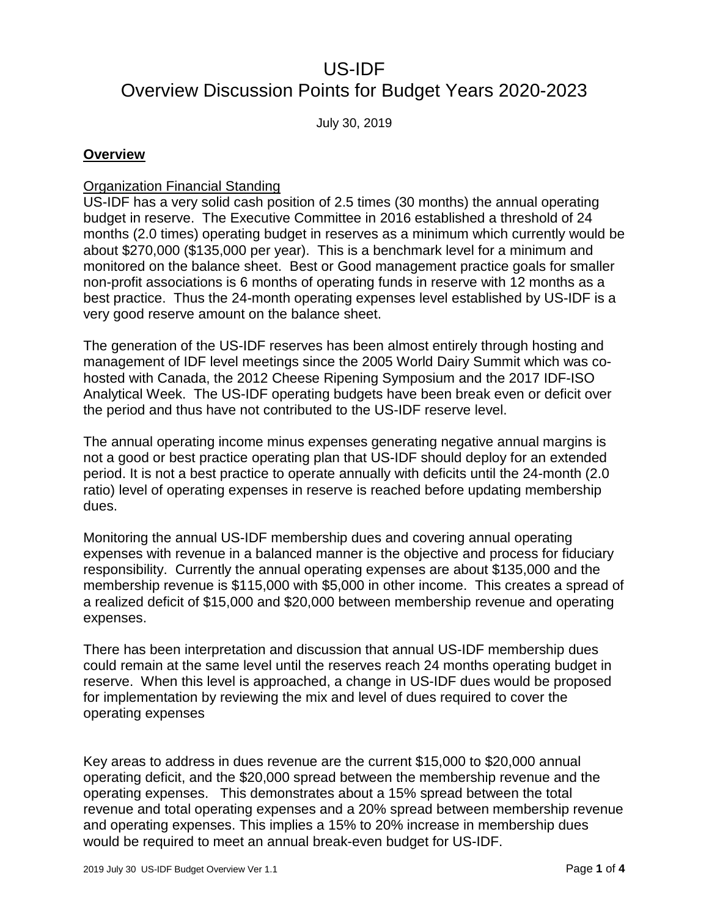# US-IDF

# Overview Discussion Points for Budget Years 2020-2023

July 30, 2019

## **Overview**

### Organization Financial Standing

US-IDF has a very solid cash position of 2.5 times (30 months) the annual operating budget in reserve. The Executive Committee in 2016 established a threshold of 24 months (2.0 times) operating budget in reserves as a minimum which currently would be about \$270,000 (\$135,000 per year). This is a benchmark level for a minimum and monitored on the balance sheet. Best or Good management practice goals for smaller non-profit associations is 6 months of operating funds in reserve with 12 months as a best practice. Thus the 24-month operating expenses level established by US-IDF is a very good reserve amount on the balance sheet.

The generation of the US-IDF reserves has been almost entirely through hosting and management of IDF level meetings since the 2005 World Dairy Summit which was cohosted with Canada, the 2012 Cheese Ripening Symposium and the 2017 IDF-ISO Analytical Week. The US-IDF operating budgets have been break even or deficit over the period and thus have not contributed to the US-IDF reserve level.

The annual operating income minus expenses generating negative annual margins is not a good or best practice operating plan that US-IDF should deploy for an extended period. It is not a best practice to operate annually with deficits until the 24-month (2.0 ratio) level of operating expenses in reserve is reached before updating membership dues.

Monitoring the annual US-IDF membership dues and covering annual operating expenses with revenue in a balanced manner is the objective and process for fiduciary responsibility. Currently the annual operating expenses are about \$135,000 and the membership revenue is \$115,000 with \$5,000 in other income. This creates a spread of a realized deficit of \$15,000 and \$20,000 between membership revenue and operating expenses.

There has been interpretation and discussion that annual US-IDF membership dues could remain at the same level until the reserves reach 24 months operating budget in reserve. When this level is approached, a change in US-IDF dues would be proposed for implementation by reviewing the mix and level of dues required to cover the operating expenses

Key areas to address in dues revenue are the current \$15,000 to \$20,000 annual operating deficit, and the \$20,000 spread between the membership revenue and the operating expenses. This demonstrates about a 15% spread between the total revenue and total operating expenses and a 20% spread between membership revenue and operating expenses. This implies a 15% to 20% increase in membership dues would be required to meet an annual break-even budget for US-IDF.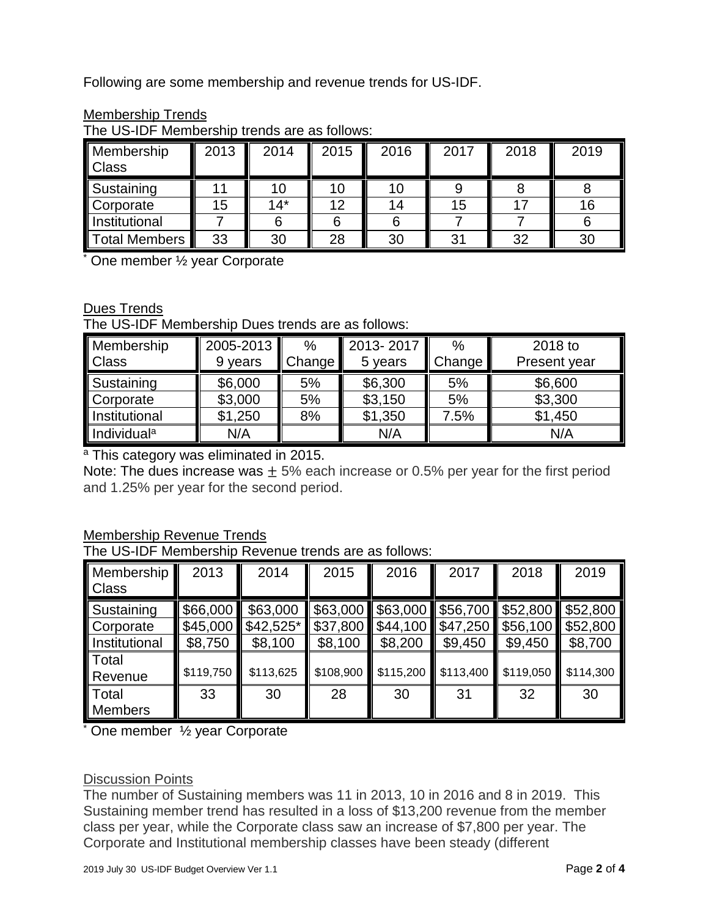Following are some membership and revenue trends for US-IDF.

| Membership<br>Class  | 2013 | 2014  | 2015 | 2016 | 2017 | 2018 | 2019 |
|----------------------|------|-------|------|------|------|------|------|
| Sustaining           |      |       |      |      |      |      |      |
| Corporate            | 15   | $14*$ | 12   | 14   | 15   |      | 16   |
| <b>Institutional</b> |      |       |      |      |      |      |      |
| <b>Total Members</b> | 33   | 30    | 28   | 30   | 31   | 32   | 30   |

## Membership Trends

The US-IDF Membership trends are as follows:

\* One member ½ year Corporate

# Dues Trends

The US-IDF Membership Dues trends are as follows:

| Membership              | 2005-2013 | $\%$   | 2013-2017 | $\%$   | 2018 to      |
|-------------------------|-----------|--------|-----------|--------|--------------|
| <b>Class</b>            | 9 years   | Change | 5 years   | Change | Present year |
| Sustaining              | \$6,000   | 5%     | \$6,300   | 5%     | \$6,600      |
| Corporate               | \$3,000   | 5%     | \$3,150   | 5%     | \$3,300      |
| <b>Institutional</b>    | \$1,250   | 8%     | \$1,350   | 7.5%   | \$1,450      |
| Individual <sup>a</sup> | N/A       |        | N/A       |        | N/A          |

a This category was eliminated in 2015.

Note: The dues increase was  $\pm$  5% each increase or 0.5% per year for the first period and 1.25% per year for the second period.

# Membership Revenue Trends

The US-IDF Membership Revenue trends are as follows:

| Membership<br><b>Class</b>               | 2013                | 2014                                         | 2015                            | 2016                            | 2017                                               | 2018                    | 2019                            |
|------------------------------------------|---------------------|----------------------------------------------|---------------------------------|---------------------------------|----------------------------------------------------|-------------------------|---------------------------------|
| Sustaining<br>Corporate<br>Institutional | \$66,000<br>\$8,750 | \$63,000<br>$$45,000$ $$42,525$ *<br>\$8,100 | \$63,000<br>\$37,800<br>\$8,100 | \$63,000<br>\$44,100<br>\$8,200 | \$56,700 \$52,800<br>$$47,250$ \$56,100<br>\$9,450 | \$9,450                 | \$52,800<br>\$52,800<br>\$8,700 |
| Total<br>Revenue                         | \$119,750           | \$113,625                                    | \$108,900                       | \$115,200                       | \$113,400                                          | $\frac{1}{2}$ \$119,050 | \$114,300                       |
| Total<br><b>Members</b>                  | 33                  | 30                                           | 28                              | 30                              | 31                                                 | 32                      | 30                              |

\* One member ½ year Corporate

# Discussion Points

The number of Sustaining members was 11 in 2013, 10 in 2016 and 8 in 2019. This Sustaining member trend has resulted in a loss of \$13,200 revenue from the member class per year, while the Corporate class saw an increase of \$7,800 per year. The Corporate and Institutional membership classes have been steady (different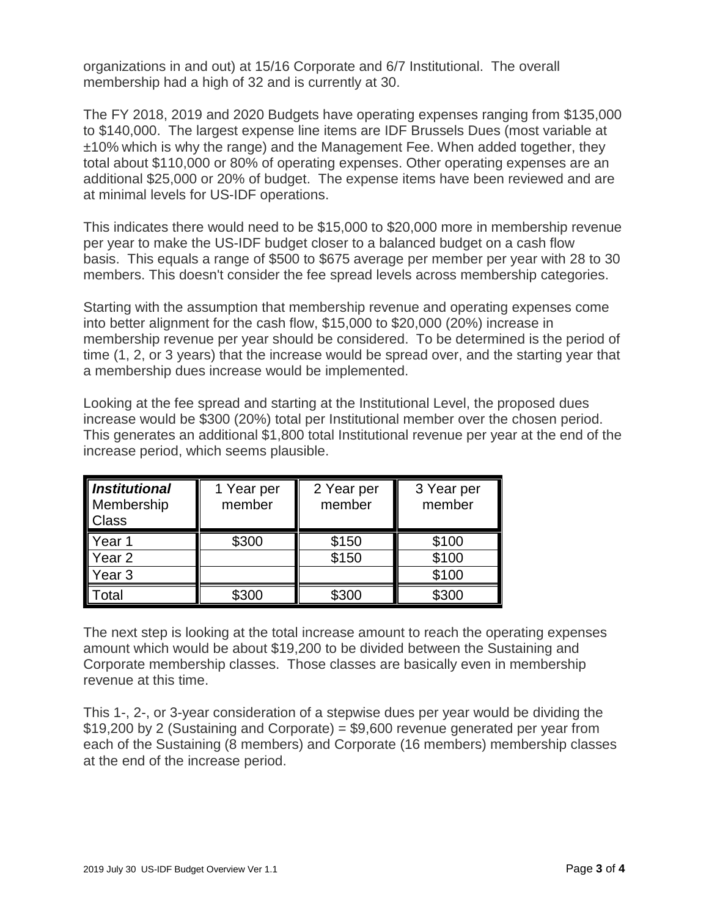organizations in and out) at 15/16 Corporate and 6/7 Institutional. The overall membership had a high of 32 and is currently at 30.

The FY 2018, 2019 and 2020 Budgets have operating expenses ranging from \$135,000 to \$140,000. The largest expense line items are IDF Brussels Dues (most variable at ±10% which is why the range) and the Management Fee. When added together, they total about \$110,000 or 80% of operating expenses. Other operating expenses are an additional \$25,000 or 20% of budget. The expense items have been reviewed and are at minimal levels for US-IDF operations.

This indicates there would need to be \$15,000 to \$20,000 more in membership revenue per year to make the US-IDF budget closer to a balanced budget on a cash flow basis. This equals a range of \$500 to \$675 average per member per year with 28 to 30 members. This doesn't consider the fee spread levels across membership categories.

Starting with the assumption that membership revenue and operating expenses come into better alignment for the cash flow, \$15,000 to \$20,000 (20%) increase in membership revenue per year should be considered. To be determined is the period of time (1, 2, or 3 years) that the increase would be spread over, and the starting year that a membership dues increase would be implemented.

Looking at the fee spread and starting at the Institutional Level, the proposed dues increase would be \$300 (20%) total per Institutional member over the chosen period. This generates an additional \$1,800 total Institutional revenue per year at the end of the increase period, which seems plausible.

| Institutional<br>Membership<br>Class | 1 Year per<br>member | 2 Year per<br>member | 3 Year per<br>member |
|--------------------------------------|----------------------|----------------------|----------------------|
| Year <sub>1</sub>                    | \$300                | \$150                | \$100                |
| Year <sub>2</sub>                    |                      | \$150                | \$100                |
| Year 3                               |                      |                      | \$100                |
| otal                                 | \$300                | \$300                | \$300                |

The next step is looking at the total increase amount to reach the operating expenses amount which would be about \$19,200 to be divided between the Sustaining and Corporate membership classes. Those classes are basically even in membership revenue at this time.

This 1-, 2-, or 3-year consideration of a stepwise dues per year would be dividing the \$19,200 by 2 (Sustaining and Corporate) = \$9,600 revenue generated per year from each of the Sustaining (8 members) and Corporate (16 members) membership classes at the end of the increase period.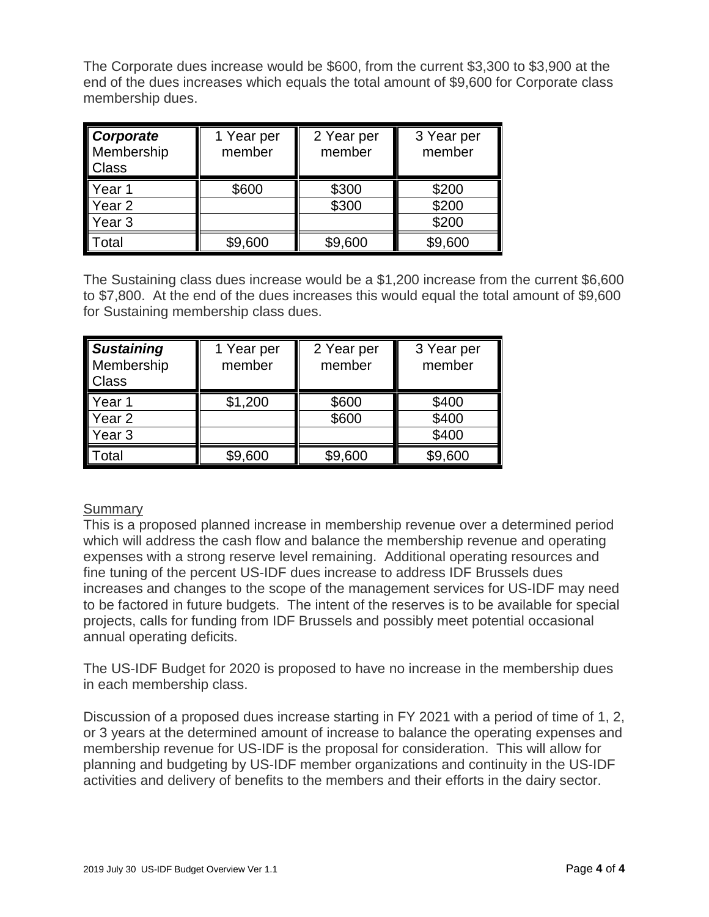The Corporate dues increase would be \$600, from the current \$3,300 to \$3,900 at the end of the dues increases which equals the total amount of \$9,600 for Corporate class membership dues.

| <b>Corporate</b><br>Membership<br><b>Class</b> | 1 Year per<br>member | 2 Year per<br>member | 3 Year per<br>member |
|------------------------------------------------|----------------------|----------------------|----------------------|
| Year 1                                         | \$600                | \$300                | \$200                |
| Year <sub>2</sub>                              |                      | \$300                | \$200                |
| Year 3                                         |                      |                      | \$200                |
| otal                                           | \$9,600              | \$9,600              | \$9,600              |

The Sustaining class dues increase would be a \$1,200 increase from the current \$6,600 to \$7,800. At the end of the dues increases this would equal the total amount of \$9,600 for Sustaining membership class dues.

| <b>Sustaining</b><br>Membership<br><b>Class</b> | 1 Year per<br>member | 2 Year per<br>member | 3 Year per<br>member |
|-------------------------------------------------|----------------------|----------------------|----------------------|
| Year <sub>1</sub>                               | \$1,200              | \$600                | \$400                |
| Year <sub>2</sub>                               |                      | \$600                | \$400                |
| Year 3                                          |                      |                      | \$400                |
| otal                                            | \$9,600              | \$9,600              | \$9,600              |

# Summary

This is a proposed planned increase in membership revenue over a determined period which will address the cash flow and balance the membership revenue and operating expenses with a strong reserve level remaining. Additional operating resources and fine tuning of the percent US-IDF dues increase to address IDF Brussels dues increases and changes to the scope of the management services for US-IDF may need to be factored in future budgets. The intent of the reserves is to be available for special projects, calls for funding from IDF Brussels and possibly meet potential occasional annual operating deficits.

The US-IDF Budget for 2020 is proposed to have no increase in the membership dues in each membership class.

Discussion of a proposed dues increase starting in FY 2021 with a period of time of 1, 2, or 3 years at the determined amount of increase to balance the operating expenses and membership revenue for US-IDF is the proposal for consideration. This will allow for planning and budgeting by US-IDF member organizations and continuity in the US-IDF activities and delivery of benefits to the members and their efforts in the dairy sector.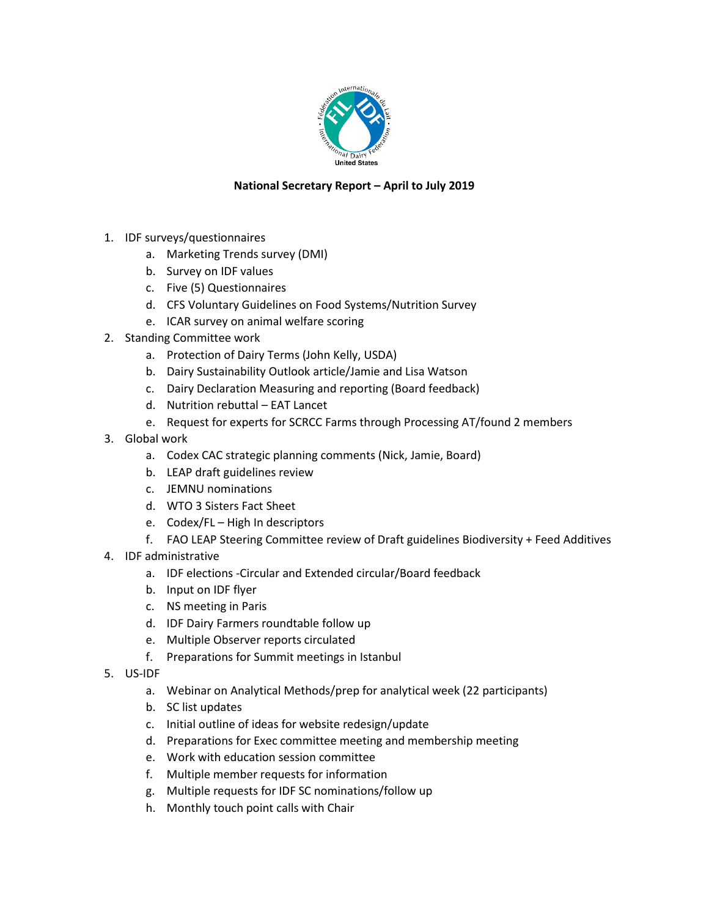

### **National Secretary Report – April to July 2019**

- 1. IDF surveys/questionnaires
	- a. Marketing Trends survey (DMI)
	- b. Survey on IDF values
	- c. Five (5) Questionnaires
	- d. CFS Voluntary Guidelines on Food Systems/Nutrition Survey
	- e. ICAR survey on animal welfare scoring
- 2. Standing Committee work
	- a. Protection of Dairy Terms (John Kelly, USDA)
	- b. Dairy Sustainability Outlook article/Jamie and Lisa Watson
	- c. Dairy Declaration Measuring and reporting (Board feedback)
	- d. Nutrition rebuttal EAT Lancet
	- e. Request for experts for SCRCC Farms through Processing AT/found 2 members
- 3. Global work
	- a. Codex CAC strategic planning comments (Nick, Jamie, Board)
	- b. LEAP draft guidelines review
	- c. JEMNU nominations
	- d. WTO 3 Sisters Fact Sheet
	- e. Codex/FL High In descriptors
	- f. FAO LEAP Steering Committee review of Draft guidelines Biodiversity + Feed Additives
- 4. IDF administrative
	- a. IDF elections -Circular and Extended circular/Board feedback
	- b. Input on IDF flyer
	- c. NS meeting in Paris
	- d. IDF Dairy Farmers roundtable follow up
	- e. Multiple Observer reports circulated
	- f. Preparations for Summit meetings in Istanbul
- 5. US-IDF
	- a. Webinar on Analytical Methods/prep for analytical week (22 participants)
	- b. SC list updates
	- c. Initial outline of ideas for website redesign/update
	- d. Preparations for Exec committee meeting and membership meeting
	- e. Work with education session committee
	- f. Multiple member requests for information
	- g. Multiple requests for IDF SC nominations/follow up
	- h. Monthly touch point calls with Chair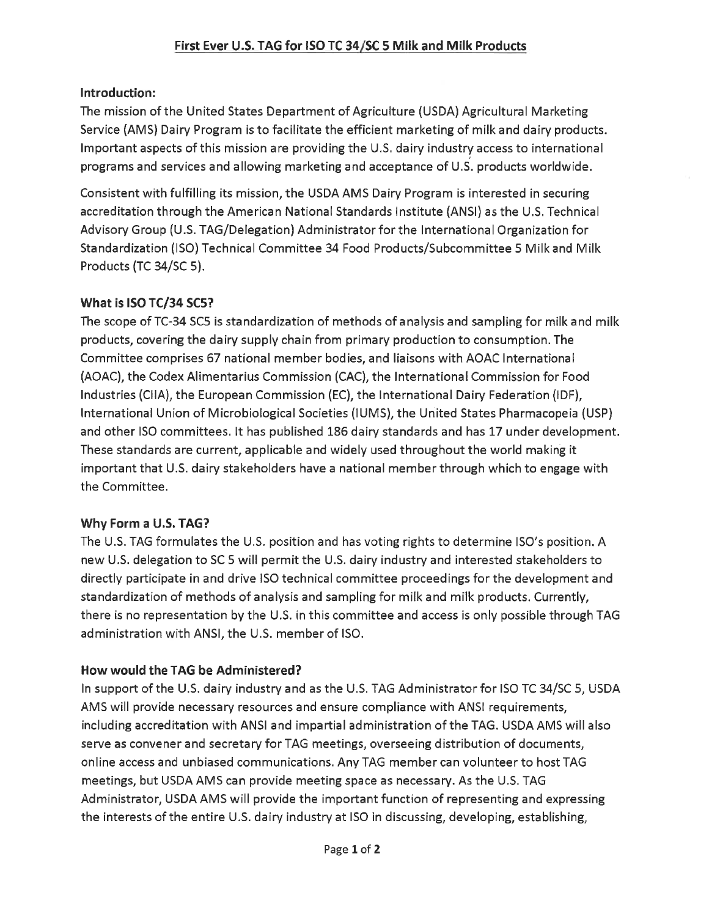# Introduction:

The mission of the United States Department of Agriculture (USDA) Agricultural Marketing Service (AMS) Dairy Program is to facilitate the efficient marketing of milk and dairy products. Important aspects of this mission are providing the U.S. dairy industry access to international programs and services and allowing marketing and acceptance of U.S. products worldwide.

Consistent with fulfilling its mission, the USDA AMS Dairy Program is interested in securing accreditation through the American National Standards Institute (ANSI) as the U.S. Technical Advisory Group (U.S. TAG/Delegation) Administrator for the International Organization for Standardization (ISO) Technical Committee 34 Food Products/Subcommittee 5 Milk and Milk Products (TC 34/SC 5).

# What is ISO TC/34 SC5?

The scope of TC-34 SC5 is standardization of methods of analysis and sampling for milk and milk products, covering the dairy supply chain from primary production to consumption. The Committee comprises 67 national member bodies, and liaisons with AOAC International (AOAC), the Codex Alimentarius Commission (CAC), the International Commission for Food Industries (CIIA), the European Commission (EC), the International Dairy Federation (IDF), International Union of Microbiological Societies (IUMS), the United States Pharmacopeia (USP) and other ISO committees. It has published 186 dairy standards and has 17 under development. These standards are current, applicable and widely used throughout the world making it important that U.S. dairy stakeholders have a national member through which to engage with the Committee.

# Why Form a U.S. TAG?

The U.S. TAG formulates the U.S. position and has voting rights to determine ISO's position. A new U.S. delegation to SC 5 will permit the U.S. dairy industry and interested stakeholders to directly participate in and drive ISO technical committee proceedings for the development and standardization of methods of analysis and sampling for milk and milk products. Currently, there is no representation by the U.S. in this committee and access is only possible through TAG administration with ANSI, the U.S. member of ISO.

# How would the TAG be Administered?

In support of the U.S. dairy industry and as the U.S. TAG Administrator for ISO TC 34/SC 5, USDA AMS will provide necessary resources and ensure compliance with ANSI requirements, including accreditation with ANSI and impartial administration of the TAG. USDA AMS will also serve as convener and secretary for TAG meetings, overseeing distribution of documents, online access and unbiased communications. Any TAG member can volunteer to host TAG meetings, but USDA AMS can provide meeting space as necessary. As the U.S. TAG Administrator, USDA AMS will provide the important function of representing and expressing the interests of the entire U.S. dairy industry at ISO in discussing, developing, establishing,